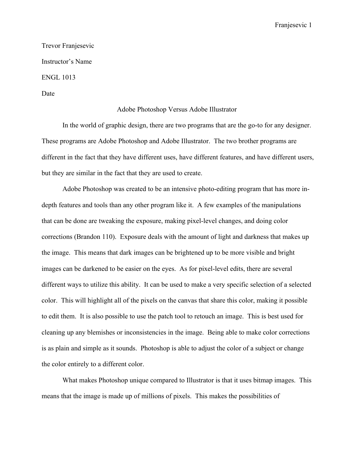Franjesevic 1

Trevor Franjesevic Instructor's Name ENGL 1013

Date

## Adobe Photoshop Versus Adobe Illustrator

In the world of graphic design, there are two programs that are the go-to for any designer. These programs are Adobe Photoshop and Adobe Illustrator. The two brother programs are different in the fact that they have different uses, have different features, and have different users, but they are similar in the fact that they are used to create.

Adobe Photoshop was created to be an intensive photo-editing program that has more indepth features and tools than any other program like it. A few examples of the manipulations that can be done are tweaking the exposure, making pixel-level changes, and doing color corrections (Brandon 110). Exposure deals with the amount of light and darkness that makes up the image. This means that dark images can be brightened up to be more visible and bright images can be darkened to be easier on the eyes. As for pixel-level edits, there are several different ways to utilize this ability. It can be used to make a very specific selection of a selected color. This will highlight all of the pixels on the canvas that share this color, making it possible to edit them. It is also possible to use the patch tool to retouch an image. This is best used for cleaning up any blemishes or inconsistencies in the image. Being able to make color corrections is as plain and simple as it sounds. Photoshop is able to adjust the color of a subject or change the color entirely to a different color.

What makes Photoshop unique compared to Illustrator is that it uses bitmap images. This means that the image is made up of millions of pixels. This makes the possibilities of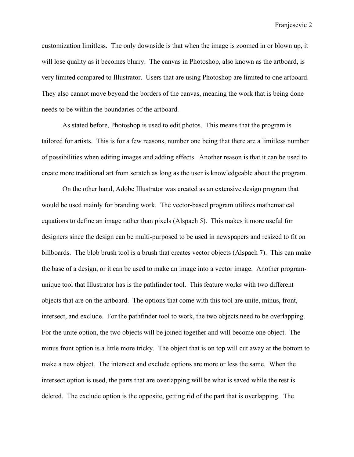Franjesevic 2

customization limitless. The only downside is that when the image is zoomed in or blown up, it will lose quality as it becomes blurry. The canvas in Photoshop, also known as the artboard, is very limited compared to Illustrator. Users that are using Photoshop are limited to one artboard. They also cannot move beyond the borders of the canvas, meaning the work that is being done needs to be within the boundaries of the artboard.

As stated before, Photoshop is used to edit photos. This means that the program is tailored for artists. This is for a few reasons, number one being that there are a limitless number of possibilities when editing images and adding effects. Another reason is that it can be used to create more traditional art from scratch as long as the user is knowledgeable about the program.

On the other hand, Adobe Illustrator was created as an extensive design program that would be used mainly for branding work. The vector-based program utilizes mathematical equations to define an image rather than pixels (Alspach 5). This makes it more useful for designers since the design can be multi-purposed to be used in newspapers and resized to fit on billboards. The blob brush tool is a brush that creates vector objects (Alspach 7). This can make the base of a design, or it can be used to make an image into a vector image. Another programunique tool that Illustrator has is the pathfinder tool. This feature works with two different objects that are on the artboard. The options that come with this tool are unite, minus, front, intersect, and exclude. For the pathfinder tool to work, the two objects need to be overlapping. For the unite option, the two objects will be joined together and will become one object. The minus front option is a little more tricky. The object that is on top will cut away at the bottom to make a new object. The intersect and exclude options are more or less the same. When the intersect option is used, the parts that are overlapping will be what is saved while the rest is deleted. The exclude option is the opposite, getting rid of the part that is overlapping. The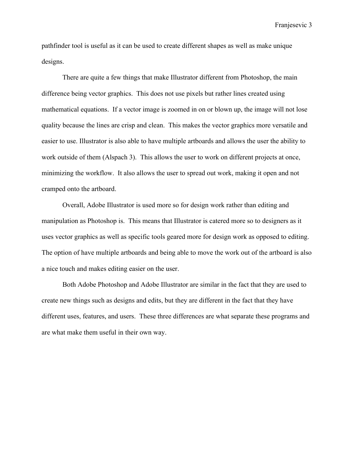Franjesevic 3

pathfinder tool is useful as it can be used to create different shapes as well as make unique designs.

There are quite a few things that make Illustrator different from Photoshop, the main difference being vector graphics. This does not use pixels but rather lines created using mathematical equations. If a vector image is zoomed in on or blown up, the image will not lose quality because the lines are crisp and clean. This makes the vector graphics more versatile and easier to use. Illustrator is also able to have multiple artboards and allows the user the ability to work outside of them (Alspach 3). This allows the user to work on different projects at once, minimizing the workflow. It also allows the user to spread out work, making it open and not cramped onto the artboard.

Overall, Adobe Illustrator is used more so for design work rather than editing and manipulation as Photoshop is. This means that Illustrator is catered more so to designers as it uses vector graphics as well as specific tools geared more for design work as opposed to editing. The option of have multiple artboards and being able to move the work out of the artboard is also a nice touch and makes editing easier on the user.

Both Adobe Photoshop and Adobe Illustrator are similar in the fact that they are used to create new things such as designs and edits, but they are different in the fact that they have different uses, features, and users. These three differences are what separate these programs and are what make them useful in their own way.